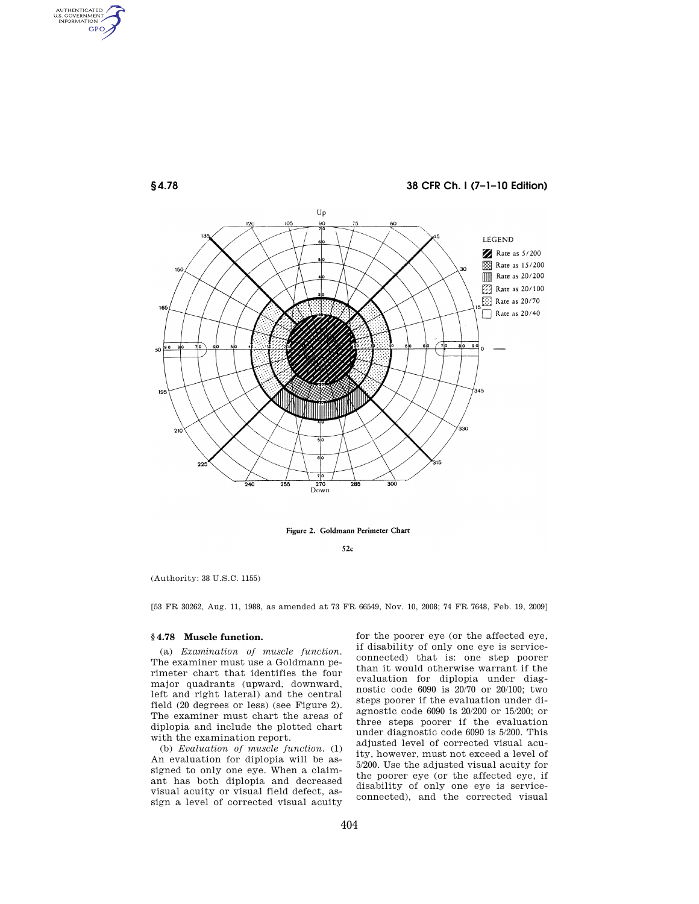

Figure 2. Goldmann Perimeter Chart

 $52c$ 

(Authority: 38 U.S.C. 1155)

AUTHENTICATED<br>U.S. GOVERNMENT<br>INFORMATION GPO

[53 FR 30262, Aug. 11, 1988, as amended at 73 FR 66549, Nov. 10, 2008; 74 FR 7648, Feb. 19, 2009]

## **§ 4.78 Muscle function.**

(a) *Examination of muscle function.*  The examiner must use a Goldmann perimeter chart that identifies the four major quadrants (upward, downward, left and right lateral) and the central field (20 degrees or less) (see Figure 2). The examiner must chart the areas of diplopia and include the plotted chart with the examination report.

(b) *Evaluation of muscle function.* (1) An evaluation for diplopia will be assigned to only one eye. When a claimant has both diplopia and decreased visual acuity or visual field defect, assign a level of corrected visual acuity

for the poorer eye (or the affected eye, if disability of only one eye is serviceconnected) that is: one step poorer than it would otherwise warrant if the evaluation for diplopia under diagnostic code 6090 is 20/70 or 20/100; two steps poorer if the evaluation under diagnostic code 6090 is 20/200 or 15/200; or three steps poorer if the evaluation under diagnostic code 6090 is 5/200. This adjusted level of corrected visual acuity, however, must not exceed a level of 5/200. Use the adjusted visual acuity for the poorer eye (or the affected eye, if disability of only one eye is serviceconnected), and the corrected visual

404